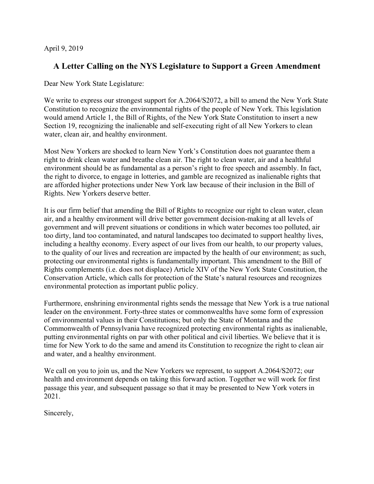April 9, 2019

## **A Letter Calling on the NYS Legislature to Support a Green Amendment**

Dear New York State Legislature:

We write to express our strongest support for A.2064/S2072, a bill to amend the New York State Constitution to recognize the environmental rights of the people of New York. This legislation would amend Article 1, the Bill of Rights, of the New York State Constitution to insert a new Section 19, recognizing the inalienable and self-executing right of all New Yorkers to clean water, clean air, and healthy environment.

Most New Yorkers are shocked to learn New York's Constitution does not guarantee them a right to drink clean water and breathe clean air. The right to clean water, air and a healthful environment should be as fundamental as a person's right to free speech and assembly. In fact, the right to divorce, to engage in lotteries, and gamble are recognized as inalienable rights that are afforded higher protections under New York law because of their inclusion in the Bill of Rights. New Yorkers deserve better.

It is our firm belief that amending the Bill of Rights to recognize our right to clean water, clean air, and a healthy environment will drive better government decision-making at all levels of government and will prevent situations or conditions in which water becomes too polluted, air too dirty, land too contaminated, and natural landscapes too decimated to support healthy lives, including a healthy economy. Every aspect of our lives from our health, to our property values, to the quality of our lives and recreation are impacted by the health of our environment; as such, protecting our environmental rights is fundamentally important. This amendment to the Bill of Rights complements (i.e. does not displace) Article XIV of the New York State Constitution, the Conservation Article, which calls for protection of the State's natural resources and recognizes environmental protection as important public policy.

Furthermore, enshrining environmental rights sends the message that New York is a true national leader on the environment. Forty-three states or commonwealths have some form of expression of environmental values in their Constitutions; but only the State of Montana and the Commonwealth of Pennsylvania have recognized protecting environmental rights as inalienable, putting environmental rights on par with other political and civil liberties. We believe that it is time for New York to do the same and amend its Constitution to recognize the right to clean air and water, and a healthy environment.

We call on you to join us, and the New Yorkers we represent, to support A.2064/S2072; our health and environment depends on taking this forward action. Together we will work for first passage this year, and subsequent passage so that it may be presented to New York voters in 2021.

Sincerely,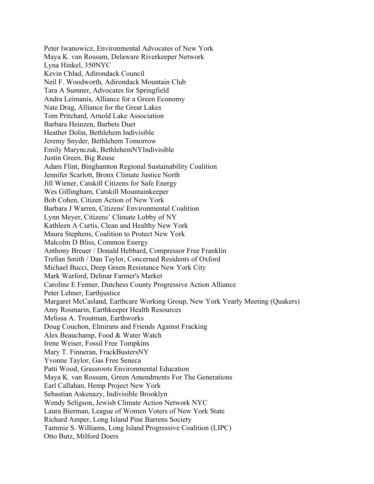Peter Iwanowicz, Environmental Advocates of New York Maya K. van Rossum, Delaware Riverkeeper Network Lyna Hinkel, 350NYC Kevin Chlad, Adirondack Council Neil F. Woodworth, Adirondack Mountain Club Tara A Sumner, Advocates for Springfield Andra Leimanis, Alliance for a Green Economy Nate Drag, Alliance for the Great Lakes Tom Pritchard, Arnold Lake Association Barbara Heinzen, Barbets Duet Heather Dolin, Bethlehem Indivisible Jeremy Snyder, Bethlehem Tomorrow Emily Marynczak, BethlehemNYIndivisible Justin Green, Big Reuse Adam Flint, Binghamton Regional Sustainability Coalition Jennifer Scarlott, Bronx Climate Justice North Jill Wiener, Catskill Citizens for Safe Energy Wes Gillingham, Catskill Mountainkeeper Bob Cohen, Citizen Action of New York Barbara J Warren, Citizens' Environmental Coalition Lynn Meyer, Citizens' Climate Lobby of NY Kathleen A Curtis, Clean and Healthy New York Maura Stephens, Coalition to Protect New York Malcolm D Bliss, Common Energy Anthony Breuer / Donald Hebbard, Compressor Free Franklin Trellan Smith / Dan Taylor, Concerned Residents of Oxford Michael Bucci, Deep Green Resistance New York City Mark Warford, Delmar Farmer's Market Caroline E Fenner, Dutchess County Progressive Action Alliance Peter Lehner, Earthjustice Margaret McCasland, Earthcare Working Group, New York Yearly Meeting (Quakers) Amy Rosmarin, Earthkeeper Health Resources Melissa A. Troutman, Earthworks Doug Couchon, Elmirans and Friends Against Fracking Alex Beauchamp, Food & Water Watch Irene Weiser, Fossil Free Tompkins Mary T. Finneran, FrackBustersNY Yvonne Taylor, Gas Free Seneca Patti Wood, Grassroots Environmental Education Maya K. van Rossum, Green Amendments For The Generations Earl Callahan, Hemp Project New York Sebastian Askenazy, Indivisible Brooklyn Wendy Seligson, Jewish Climate Action Network NYC Laura Bierman, League of Women Voters of New York State Richard Amper, Long Island Pine Barrens Society Tammie S. Williams, Long Island Progressive Coalition (LIPC) Otto Butz, Milford Doers